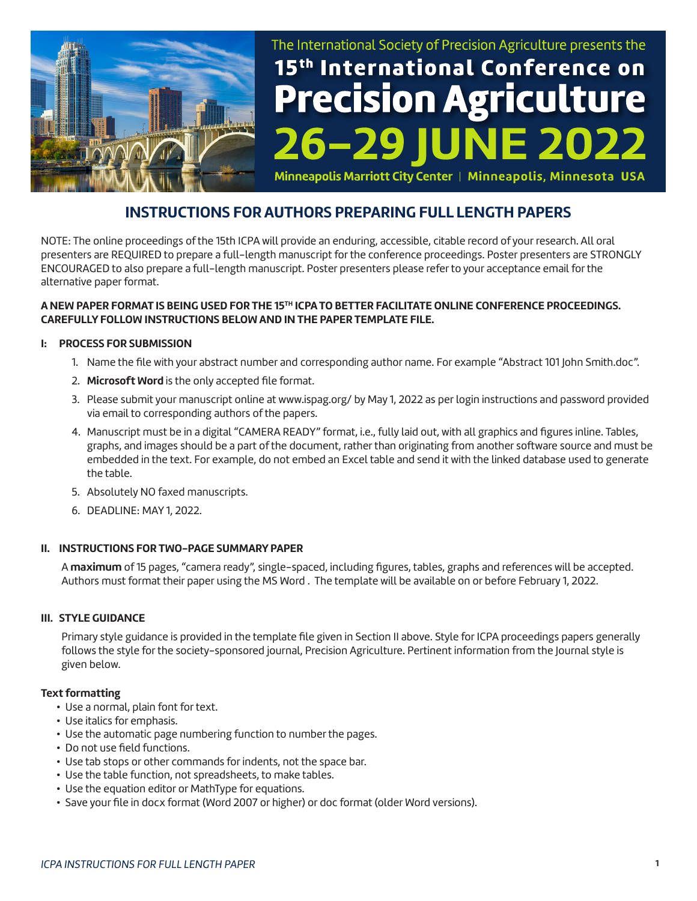

# The International Society of Precision Agriculture presents the 15<sup>th</sup> International Conference on **Precision Agriculture** NE 2022

Minneapolis Marriott City Center | Minneapolis, Minnesota USA

# **INSTRUCTIONS FOR AUTHORS PREPARING FULL LENGTH PAPERS**

NOTE: The online proceedings of the 15th ICPA will provide an enduring, accessible, citable record of your research. All oral presenters are REQUIRED to prepare a full-length manuscript for the conference proceedings. Poster presenters are STRONGLY ENCOURAGED to also prepare a full-length manuscript. Poster presenters please refer to your acceptance email for the alternative paper format.

# **A NEW PAPER FORMAT IS BEING USED FOR THE 15TH ICPA TO BETTER FACILITATE ONLINE CONFERENCE PROCEEDINGS. CAREFULLY FOLLOW INSTRUCTIONS BELOW AND IN THE PAPER TEMPLATE FILE.**

#### **I: PROCESS FOR SUBMISSION**

- 1. Name the file with your abstract number and corresponding author name. For example "Abstract 101 John Smith.doc".
- 2. **Microsoft Word** is the only accepted file format.
- 3. Please submit your manuscript online at www.ispag.org/ by May 1, 2022 as per login instructions and password provided via email to corresponding authors of the papers.
- 4. Manuscript must be in a digital "CAMERA READY" format, i.e., fully laid out, with all graphics and figures inline. Tables, graphs, and images should be a part of the document, rather than originating from another software source and must be embedded in the text. For example, do not embed an Excel table and send it with the linked database used to generate the table.
- 5. Absolutely NO faxed manuscripts.
- 6. DEADLINE: MAY 1, 2022.

#### **II. INSTRUCTIONS FOR TWO-PAGE SUMMARY PAPER**

A **maximum** of 15 pages, "camera ready", single-spaced, including figures, tables, graphs and references will be accepted. Authors must format their paper using the MS Word . The template will be available on or before February 1, 2022.

#### **III. STYLE GUIDANCE**

Primary style guidance is provided in the template file given in Section II above. Style for ICPA proceedings papers generally follows the style for the society-sponsored journal, Precision Agriculture. Pertinent information from the Journal style is given below.

#### **Text formatting**

- Use a normal, plain font for text.
- Use italics for emphasis.
- Use the automatic page numbering function to number the pages.
- Do not use field functions.
- Use tab stops or other commands for indents, not the space bar.
- Use the table function, not spreadsheets, to make tables.
- Use the equation editor or MathType for equations.
- Save your file in docx format (Word 2007 or higher) or doc format (older Word versions).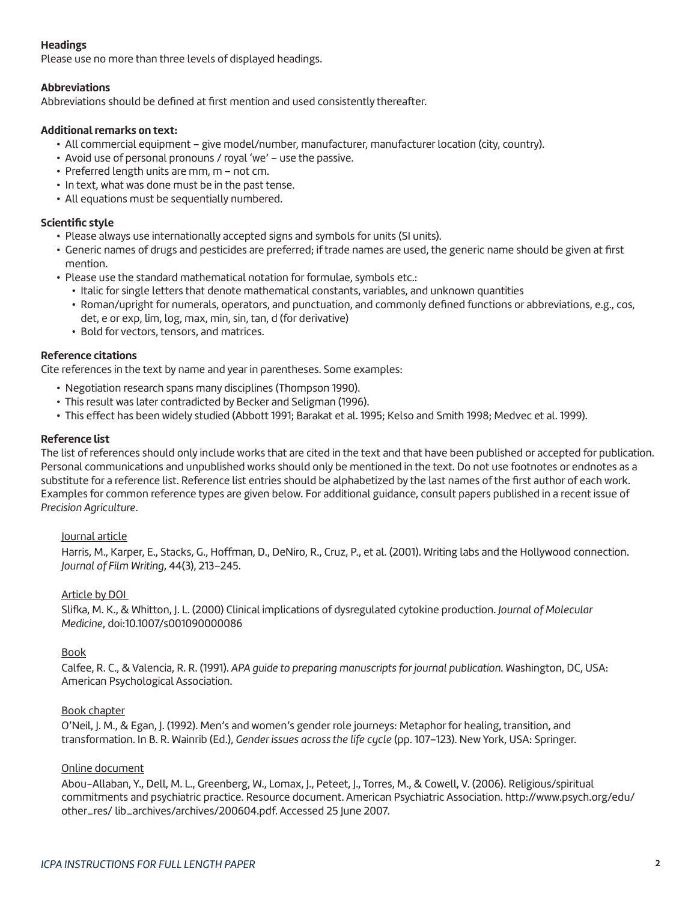# **Headings**

Please use no more than three levels of displayed headings.

#### **Abbreviations**

Abbreviations should be defined at first mention and used consistently thereafter.

#### **Additional remarks on text:**

- All commercial equipment give model/number, manufacturer, manufacturer location (city, country).
- Avoid use of personal pronouns / royal 'we' use the passive.
- Preferred length units are mm, m not cm.
- In text, what was done must be in the past tense.
- All equations must be sequentially numbered.

#### **Scientific style**

- Please always use internationally accepted signs and symbols for units (SI units).
- Generic names of drugs and pesticides are preferred; if trade names are used, the generic name should be given at first mention.
- Please use the standard mathematical notation for formulae, symbols etc.:
	- Italic for single letters that denote mathematical constants, variables, and unknown quantities
	- Roman/upright for numerals, operators, and punctuation, and commonly defined functions or abbreviations, e.g., cos, det, e or exp, lim, log, max, min, sin, tan, d (for derivative)
	- Bold for vectors, tensors, and matrices.

# **Reference citations**

Cite references in the text by name and year in parentheses. Some examples:

- Negotiation research spans many disciplines (Thompson 1990).
- This result was later contradicted by Becker and Seligman (1996).
- This effect has been widely studied (Abbott 1991; Barakat et al. 1995; Kelso and Smith 1998; Medvec et al. 1999).

# **Reference list**

The list of references should only include works that are cited in the text and that have been published or accepted for publication. Personal communications and unpublished works should only be mentioned in the text. Do not use footnotes or endnotes as a substitute for a reference list. Reference list entries should be alphabetized by the last names of the first author of each work. Examples for common reference types are given below. For additional guidance, consult papers published in a recent issue of *Precision Agriculture*.

#### Journal article

Harris, M., Karper, E., Stacks, G., Hoffman, D., DeNiro, R., Cruz, P., et al. (2001). Writing labs and the Hollywood connection. *Journal of Film Writing*, 44(3), 213–245.

#### Article by DOI

Slifka, M. K., & Whitton, J. L. (2000) Clinical implications of dysregulated cytokine production. *Journal of Molecular Medicine*, doi:10.1007/s001090000086

#### Book

Calfee, R. C., & Valencia, R. R. (1991). *APA guide to preparing manuscripts for journal publication.* Washington, DC, USA: American Psychological Association.

#### Book chapter

O'Neil, J. M., & Egan, J. (1992). Men's and women's gender role journeys: Metaphor for healing, transition, and transformation. In B. R. Wainrib (Ed.), *Gender issues across the life cycle* (pp. 107–123). New York, USA: Springer.

#### Online document

Abou-Allaban, Y., Dell, M. L., Greenberg, W., Lomax, J., Peteet, J., Torres, M., & Cowell, V. (2006). Religious/spiritual commitments and psychiatric practice. Resource document. American Psychiatric Association. http://www.psych.org/edu/ other\_res/ lib\_archives/archives/200604.pdf. Accessed 25 June 2007.